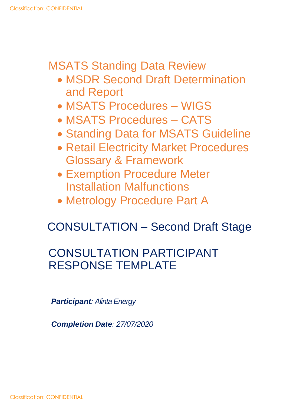# MSATS Standing Data Review

- MSDR Second Draft Determination and Report
- MSATS Procedures WIGS
- MSATS Procedures CATS
- Standing Data for MSATS Guideline
- Retail Electricity Market Procedures Glossary & Framework
- Exemption Procedure Meter Installation Malfunctions
- Metrology Procedure Part A

# CONSULTATION – Second Draft Stage

# CONSULTATION PARTICIPANT RESPONSE TEMPLATE

*Participant: Alinta Energy*

*Completion Date: 27/07/2020*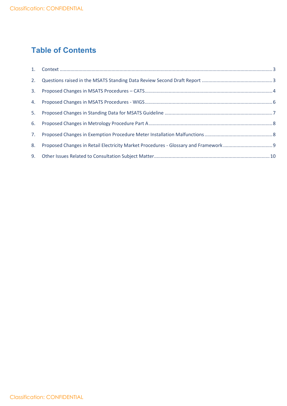# **Table of Contents**

| 8. |  |
|----|--|
|    |  |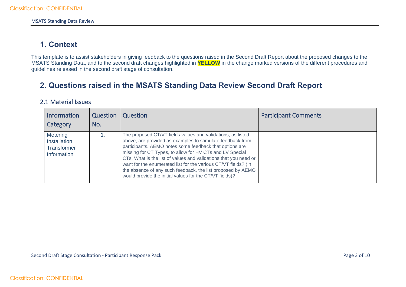# **1. Context**

This template is to assist stakeholders in giving feedback to the questions raised in the Second Draft Report about the proposed changes to the MSATS Standing Data, and to the second draft changes highlighted in **YELLOW** in the change marked versions of the different procedures and guidelines released in the second draft stage of consultation.

# **2. Questions raised in the MSATS Standing Data Review Second Draft Report**

#### 2.1 Material Issues

<span id="page-2-1"></span><span id="page-2-0"></span>

| <b>Information</b><br>Category                                | Question<br>No. | Question                                                                                                                                                                                                                                                                                                                                                                                                                                                                                                         | <b>Participant Comments</b> |
|---------------------------------------------------------------|-----------------|------------------------------------------------------------------------------------------------------------------------------------------------------------------------------------------------------------------------------------------------------------------------------------------------------------------------------------------------------------------------------------------------------------------------------------------------------------------------------------------------------------------|-----------------------------|
| Metering<br>Installation<br><b>Transformer</b><br>Information |                 | The proposed CT/VT fields values and validations, as listed<br>above, are provided as examples to stimulate feedback from<br>participants. AEMO notes some feedback that options are<br>missing for CT Types, to allow for HV CTs and LV Special<br>CTs. What is the list of values and validations that you need or<br>want for the enumerated list for the various CT/VT fields? (In<br>the absence of any such feedback, the list proposed by AEMO<br>would provide the initial values for the CT/VT fields)? |                             |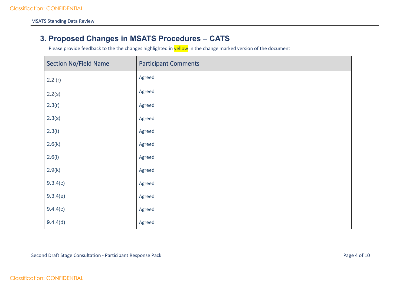## **3. Proposed Changes in MSATS Procedures – CATS**

<span id="page-3-0"></span>

| <b>Section No/Field Name</b> | <b>Participant Comments</b> |
|------------------------------|-----------------------------|
| 2.2(r)                       | Agreed                      |
| 2.2(s)                       | Agreed                      |
| 2.3(r)                       | Agreed                      |
| 2.3(s)                       | Agreed                      |
| 2.3(t)                       | Agreed                      |
| 2.6(k)                       | Agreed                      |
| 2.6(1)                       | Agreed                      |
| 2.9(k)                       | Agreed                      |
| 9.3.4(c)                     | Agreed                      |
| 9.3.4(e)                     | Agreed                      |
| 9.4.4(c)                     | Agreed                      |
| 9.4.4(d)                     | Agreed                      |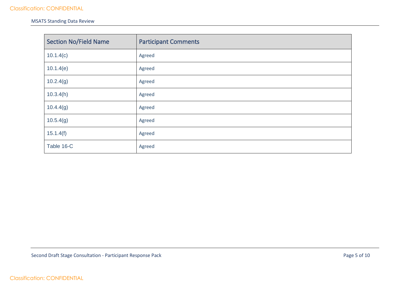#### MSATS Standing Data Review

| <b>Section No/Field Name</b> | <b>Participant Comments</b> |
|------------------------------|-----------------------------|
| 10.1.4(c)                    | Agreed                      |
| 10.1.4(e)                    | Agreed                      |
| 10.2.4(g)                    | Agreed                      |
| 10.3.4(h)                    | Agreed                      |
| 10.4.4(g)                    | Agreed                      |
| 10.5.4(g)                    | Agreed                      |
| 15.1.4(f)                    | Agreed                      |
| Table 16-C                   | Agreed                      |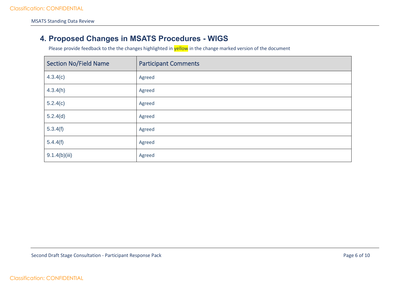## **4. Proposed Changes in MSATS Procedures - WIGS**

<span id="page-5-0"></span>

| <b>Section No/Field Name</b> | <b>Participant Comments</b> |
|------------------------------|-----------------------------|
| 4.3.4(c)                     | Agreed                      |
| 4.3.4(h)                     | Agreed                      |
| 5.2.4(c)                     | Agreed                      |
| 5.2.4(d)                     | Agreed                      |
| 5.3.4(f)                     | Agreed                      |
| 5.4.4(f)                     | Agreed                      |
| 9.1.4(b)(iii)                | Agreed                      |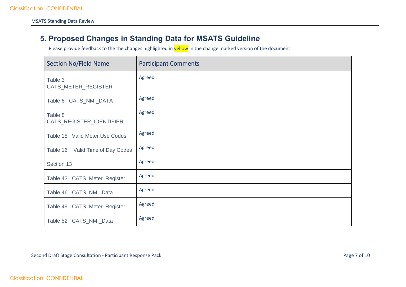## **5. Proposed Changes in Standing Data for MSATS Guideline**

<span id="page-6-0"></span>

| <b>Section No/Field Name</b>        | <b>Participant Comments</b> |
|-------------------------------------|-----------------------------|
| Table 3<br>CATS_METER_REGISTER      | Agreed                      |
| Table 6 CATS_NMI_DATA               | Agreed                      |
| Table 8<br>CATS_REGISTER_IDENTIFIER | Agreed                      |
| Table 15 Valid Meter Use Codes      | Agreed                      |
| Table 16 Valid Time of Day Codes    | Agreed                      |
| Section 13                          | Agreed                      |
| Table 43 CATS_Meter_Register        | Agreed                      |
| Table 46 CATS_NMI_Data              | Agreed                      |
| Table 49 CATS_Meter_Register        | Agreed                      |
| Table 52 CATS_NMI_Data              | Agreed                      |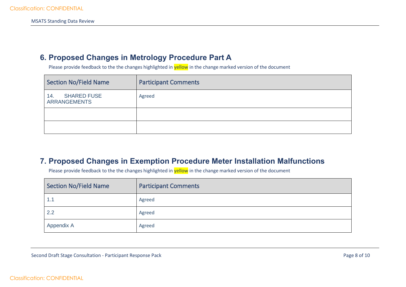### **6. Proposed Changes in Metrology Procedure Part A**

Please provide feedback to the the changes highlighted in **yellow** in the change marked version of the document

| <b>Section No/Field Name</b>                     | <b>Participant Comments</b> |
|--------------------------------------------------|-----------------------------|
| <b>SHARED FUSE</b><br>14.<br><b>ARRANGEMENTS</b> | Agreed                      |
|                                                  |                             |
|                                                  |                             |

### <span id="page-7-0"></span>**7. Proposed Changes in Exemption Procedure Meter Installation Malfunctions**

<span id="page-7-1"></span>

| <b>Section No/Field Name</b> | <b>Participant Comments</b> |
|------------------------------|-----------------------------|
| 1.1                          | Agreed                      |
| 2.2                          | Agreed                      |
| Appendix A                   | Agreed                      |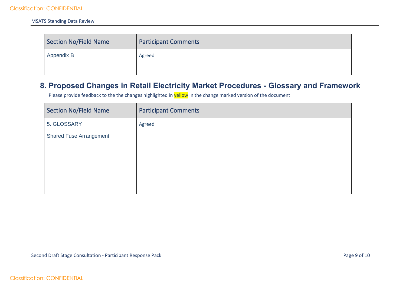| Section No/Field Name | <b>Participant Comments</b> |
|-----------------------|-----------------------------|
| Appendix B            | Agreed                      |
|                       |                             |

### **8. Proposed Changes in Retail Electricity Market Procedures - Glossary and Framework**

<span id="page-8-0"></span>

| <b>Section No/Field Name</b>   | <b>Participant Comments</b> |
|--------------------------------|-----------------------------|
| 5. GLOSSARY                    | Agreed                      |
| <b>Shared Fuse Arrangement</b> |                             |
|                                |                             |
|                                |                             |
|                                |                             |
|                                |                             |